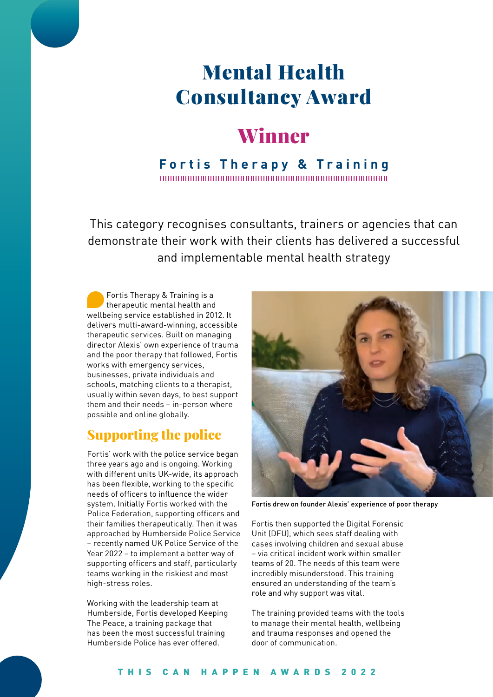# Mental Health Consultancy Award

## Winner

#### **Fortis Therapy & Training**

This category recognises consultants, trainers or agencies that can demonstrate their work with their clients has delivered a successful and implementable mental health strategy

Fortis Therapy & Training is a therapeutic mental health and wellbeing service established in 2012. It delivers multi-award-winning, accessible therapeutic services. Built on managing director Alexis' own experience of trauma and the poor therapy that followed, Fortis works with emergency services, businesses, private individuals and schools, matching clients to a therapist, usually within seven days, to best support them and their needs – in-person where possible and online globally.

### Supporting the police

Fortis' work with the police service began three years ago and is ongoing. Working with different units UK-wide, its approach has been flexible, working to the specific needs of officers to influence the wider system. Initially Fortis worked with the Police Federation, supporting officers and their families therapeutically. Then it was approached by Humberside Police Service – recently named UK Police Service of the Year 2022 – to implement a better way of supporting officers and staff, particularly teams working in the riskiest and most high-stress roles.

Working with the leadership team at Humberside, Fortis developed Keeping The Peace, a training package that has been the most successful training Humberside Police has ever offered.



Fortis drew on founder Alexis' experience of poor therapy

Fortis then supported the Digital Forensic Unit (DFU), which sees staff dealing with cases involving children and sexual abuse – via critical incident work within smaller teams of 20. The needs of this team were incredibly misunderstood. This training ensured an understanding of the team's role and why support was vital.

The training provided teams with the tools to manage their mental health, wellbeing and trauma responses and opened the door of communication.

#### THIS CAN HAPPEN AWARDS 2022